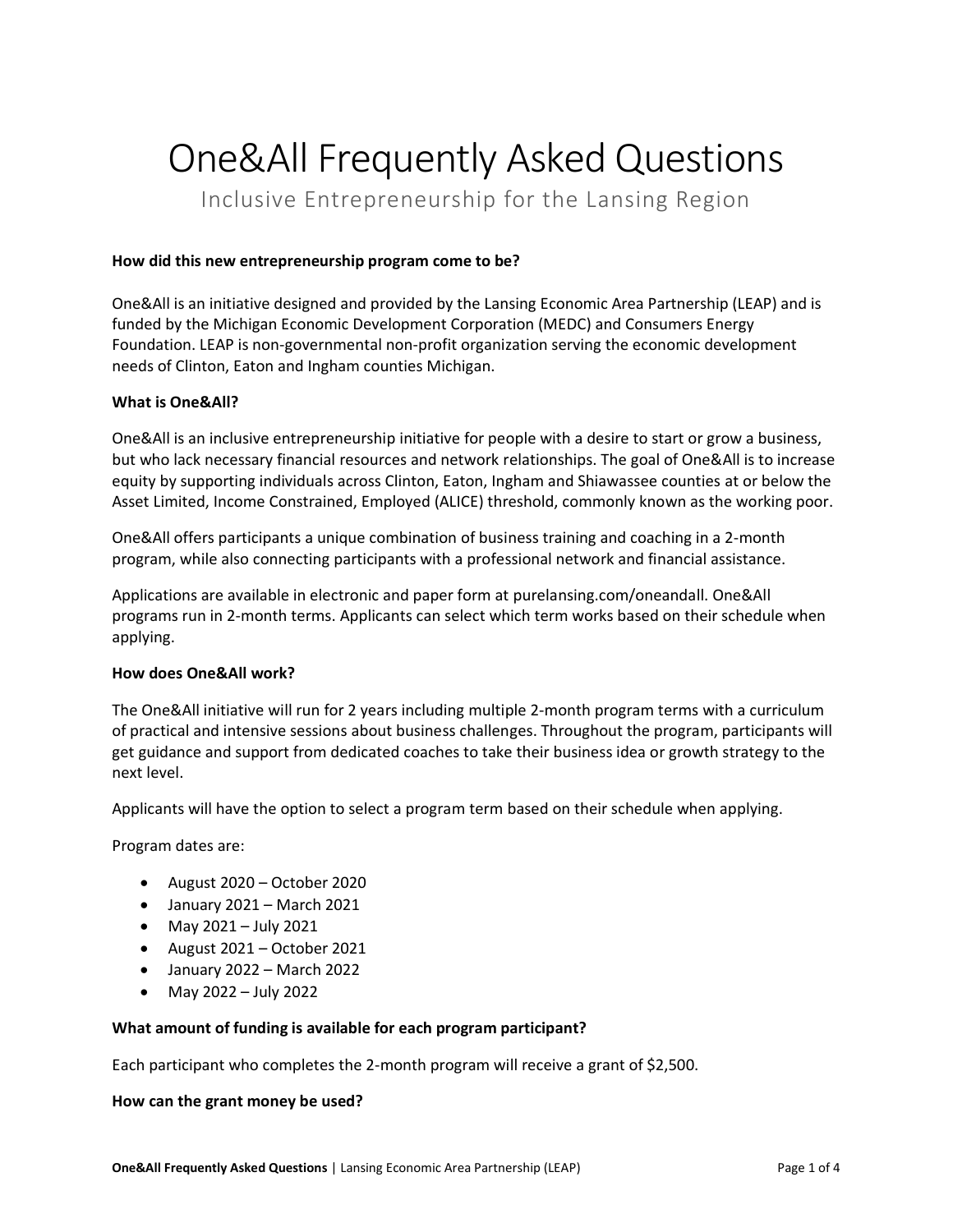# One&All Frequently Asked Questions

Inclusive Entrepreneurship for the Lansing Region

# **How did this new entrepreneurship program come to be?**

One&All is an initiative designed and provided by the Lansing Economic Area Partnership (LEAP) and is funded by the Michigan Economic Development Corporation (MEDC) and Consumers Energy Foundation. LEAP is non-governmental non-profit organization serving the economic development needs of Clinton, Eaton and Ingham counties Michigan.

# **What is One&All?**

One&All is an inclusive entrepreneurship initiative for people with a desire to start or grow a business, but who lack necessary financial resources and network relationships. The goal of One&All is to increase equity by supporting individuals across Clinton, Eaton, Ingham and Shiawassee counties at or below the Asset Limited, Income Constrained, Employed (ALICE) threshold, commonly known as the working poor.

One&All offers participants a unique combination of business training and coaching in a 2-month program, while also connecting participants with a professional network and financial assistance.

Applications are available in electronic and paper form at purelansing.com/oneandall. One&All programs run in 2-month terms. Applicants can select which term works based on their schedule when applying.

#### **How does One&All work?**

The One&All initiative will run for 2 years including multiple 2-month program terms with a curriculum of practical and intensive sessions about business challenges. Throughout the program, participants will get guidance and support from dedicated coaches to take their business idea or growth strategy to the next level.

Applicants will have the option to select a program term based on their schedule when applying.

Program dates are:

- August 2020 October 2020
- January 2021 March 2021
- May 2021 July 2021
- August 2021 October 2021
- January 2022 March 2022
- May 2022 July 2022

#### **What amount of funding is available for each program participant?**

Each participant who completes the 2-month program will receive a grant of \$2,500.

#### **How can the grant money be used?**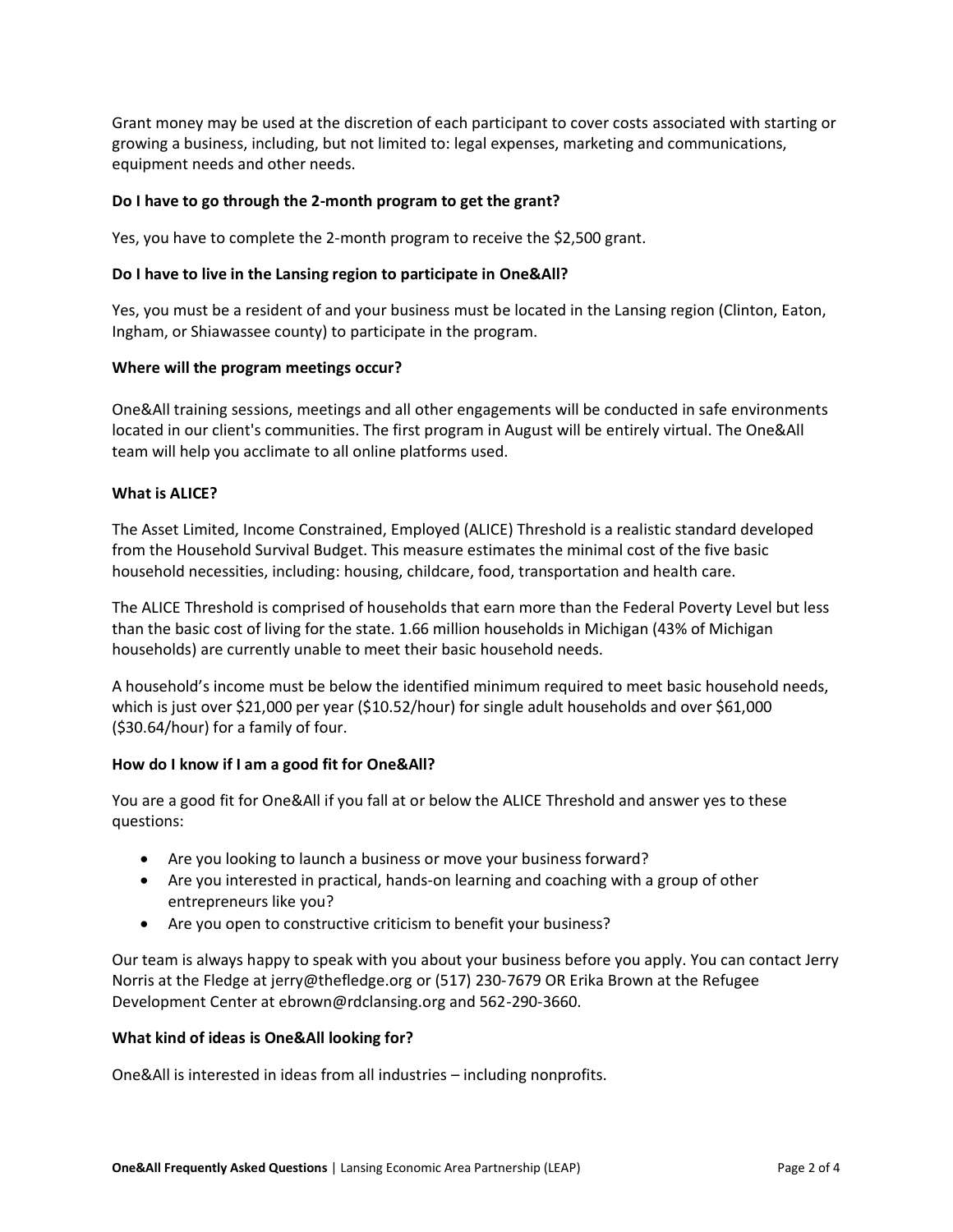Grant money may be used at the discretion of each participant to cover costs associated with starting or growing a business, including, but not limited to: legal expenses, marketing and communications, equipment needs and other needs.

# **Do I have to go through the 2-month program to get the grant?**

Yes, you have to complete the 2-month program to receive the \$2,500 grant.

#### **Do I have to live in the Lansing region to participate in One&All?**

Yes, you must be a resident of and your business must be located in the Lansing region (Clinton, Eaton, Ingham, or Shiawassee county) to participate in the program.

#### **Where will the program meetings occur?**

One&All training sessions, meetings and all other engagements will be conducted in safe environments located in our client's communities. The first program in August will be entirely virtual. The One&All team will help you acclimate to all online platforms used.

# **What is ALICE?**

The Asset Limited, Income Constrained, Employed (ALICE) Threshold is a realistic standard developed from the Household Survival Budget. This measure estimates the minimal cost of the five basic household necessities, including: housing, childcare, food, transportation and health care.

The ALICE Threshold is comprised of households that earn more than the Federal Poverty Level but less than the basic cost of living for the state. 1.66 million households in Michigan (43% of Michigan households) are currently unable to meet their basic household needs.

A household's income must be below the identified minimum required to meet basic household needs, which is just over \$21,000 per year (\$10.52/hour) for single adult households and over \$61,000 (\$30.64/hour) for a family of four.

#### **How do I know if I am a good fit for One&All?**

You are a good fit for One&All if you fall at or below the ALICE Threshold and answer yes to these questions:

- Are you looking to launch a business or move your business forward?
- Are you interested in practical, hands-on learning and coaching with a group of other entrepreneurs like you?
- Are you open to constructive criticism to benefit your business?

Our team is always happy to speak with you about your business before you apply. You can contact Jerry Norris at the Fledge at jerry@thefledge.org or (517) 230-7679 OR Erika Brown at the Refugee Development Center at ebrown@rdclansing.org and 562-290-3660.

#### **What kind of ideas is One&All looking for?**

One&All is interested in ideas from all industries – including nonprofits.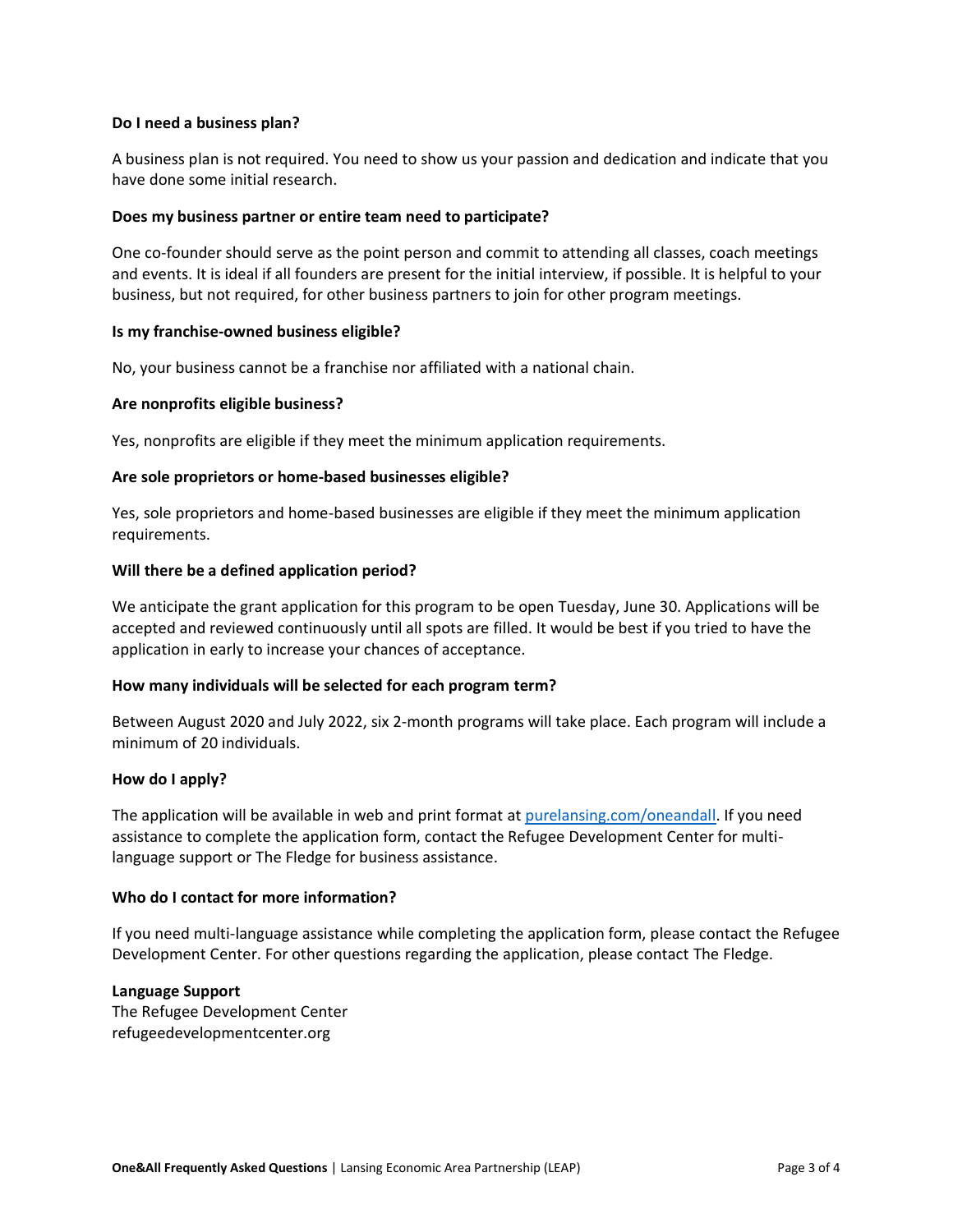#### **Do I need a business plan?**

A business plan is not required. You need to show us your passion and dedication and indicate that you have done some initial research.

#### **Does my business partner or entire team need to participate?**

One co-founder should serve as the point person and commit to attending all classes, coach meetings and events. It is ideal if all founders are present for the initial interview, if possible. It is helpful to your business, but not required, for other business partners to join for other program meetings.

#### **Is my franchise-owned business eligible?**

No, your business cannot be a franchise nor affiliated with a national chain.

# **Are nonprofits eligible business?**

Yes, nonprofits are eligible if they meet the minimum application requirements.

# **Are sole proprietors or home-based businesses eligible?**

Yes, sole proprietors and home-based businesses are eligible if they meet the minimum application requirements.

#### **Will there be a defined application period?**

We anticipate the grant application for this program to be open Tuesday, June 30. Applications will be accepted and reviewed continuously until all spots are filled. It would be best if you tried to have the application in early to increase your chances of acceptance.

#### **How many individuals will be selected for each program term?**

Between August 2020 and July 2022, six 2-month programs will take place. Each program will include a minimum of 20 individuals.

#### **How do I apply?**

The application will be available in web and print format a[t purelansing.com/oneandall.](http://www.purelansing.com/oneandall) If you need assistance to complete the application form, contact the Refugee Development Center for multilanguage support or The Fledge for business assistance.

# **Who do I contact for more information?**

If you need multi-language assistance while completing the application form, please contact the Refugee Development Center. For other questions regarding the application, please contact The Fledge.

# **Language Support**

The Refugee Development Center refugeedevelopmentcenter.org